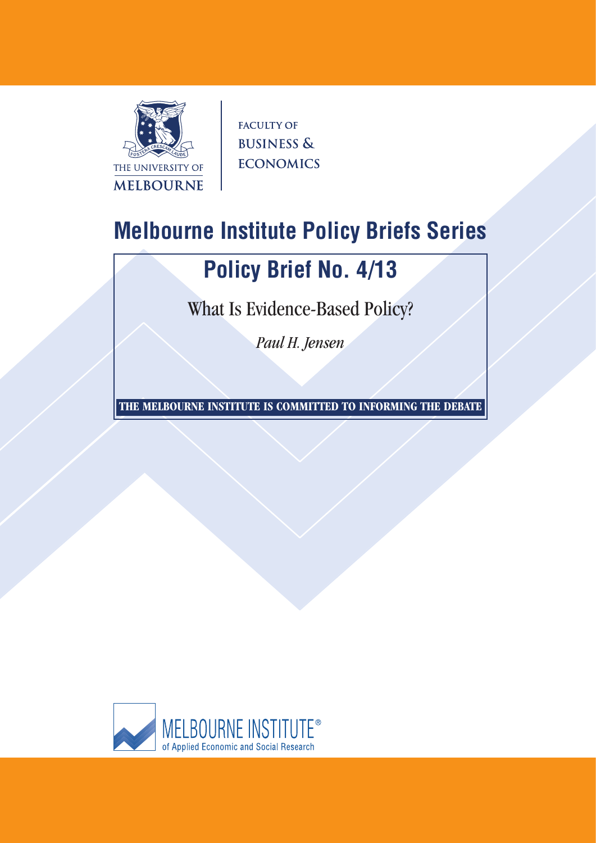

**FACULTY OF BUSINESS & ECONOMICS** 

# **Melbourne Institute Policy Briefs Series**

# **Policy Brief No. 4/13**

What Is Evidence-Based Policy?

*Paul H. Jensen*

**THE MELBOURNE INSTITUTE IS COMMITTED TO INFORMING THE DEBATE**

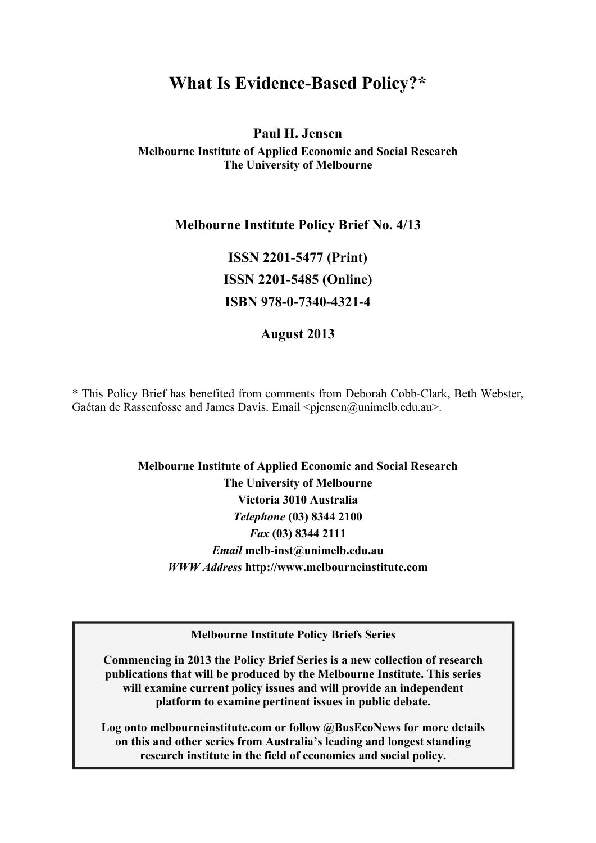# **What Is Evidence-Based Policy?\***

## **Paul H. Jensen Melbourne Institute of Applied Economic and Social Research The University of Melbourne**

### **Melbourne Institute Policy Brief No. 4/13**

**ISSN 2201-5477 (Print) ISSN 2201-5485 (Online) ISBN 978-0-7340-4321-4** 

### **August 2013**

\* This Policy Brief has benefited from comments from Deborah Cobb-Clark, Beth Webster, Gaétan de Rassenfosse and James Davis. Email  $\langle$ pjensen@unimelb.edu.au $>$ .

## **Melbourne Institute of Applied Economic and Social Research The University of Melbourne Victoria 3010 Australia**  *Telephone* **(03) 8344 2100**  *Fax* **(03) 8344 2111**  *Email* **melb-inst@unimelb.edu.au**  *WWW Address* **http://www.melbourneinstitute.com**

**Melbourne Institute Policy Briefs Series** 

**Commencing in 2013 the Policy Brief Series is a new collection of research publications that will be produced by the Melbourne Institute. This series will examine current policy issues and will provide an independent platform to examine pertinent issues in public debate.** 

**Log onto melbourneinstitute.com or follow @BusEcoNews for more details on this and other series from Australia's leading and longest standing research institute in the field of economics and social policy.**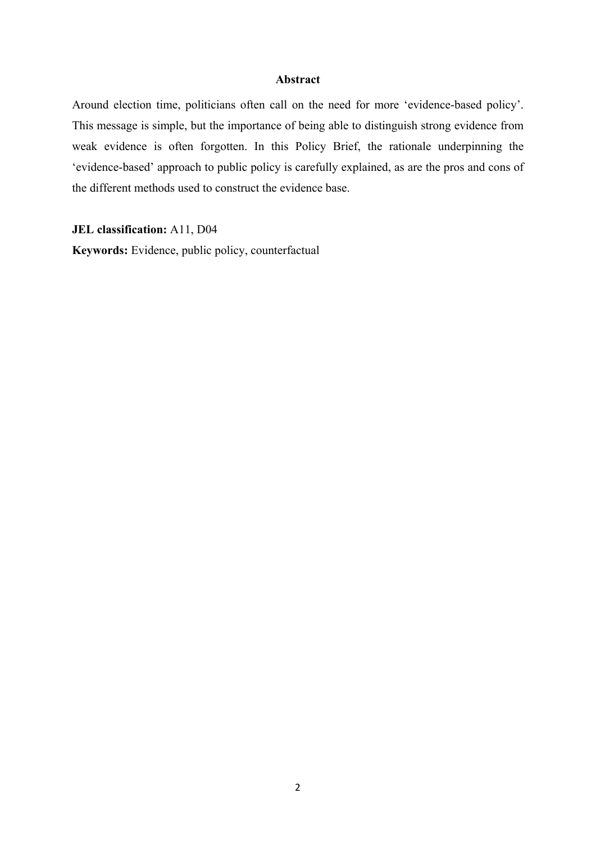#### **Abstract**

Around election time, politicians often call on the need for more 'evidence-based policy'. This message is simple, but the importance of being able to distinguish strong evidence from weak evidence is often forgotten. In this Policy Brief, the rationale underpinning the 'evidence-based' approach to public policy is carefully explained, as are the pros and cons of the different methods used to construct the evidence base.

**JEL classification:** A11, D04

**Keywords:** Evidence, public policy, counterfactual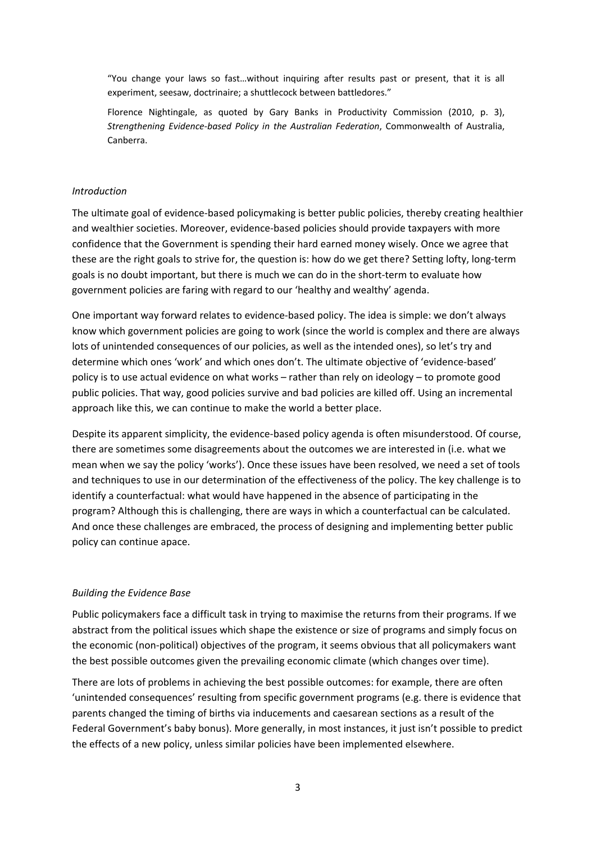"You change your laws so fast…without inquiring after results past or present, that it is all experiment, seesaw, doctrinaire; a shuttlecock between battledores."

Florence Nightingale, as quoted by Gary Banks in Productivity Commission (2010, p. 3), *Strengthening Evidence‐based Policy in the Australian Federation*, Commonwealth of Australia, Canberra.

#### *Introduction*

The ultimate goal of evidence‐based policymaking is better public policies, thereby creating healthier and wealthier societies. Moreover, evidence‐based policies should provide taxpayers with more confidence that the Government is spending their hard earned money wisely. Once we agree that these are the right goals to strive for, the question is: how do we get there? Setting lofty, long-term goals is no doubt important, but there is much we can do in the short-term to evaluate how government policies are faring with regard to our 'healthy and wealthy' agenda.

One important way forward relates to evidence‐based policy. The idea is simple: we don't always know which government policies are going to work (since the world is complex and there are always lots of unintended consequences of our policies, as well as the intended ones), so let's try and determine which ones 'work' and which ones don't. The ultimate objective of 'evidence‐based' policy is to use actual evidence on what works – rather than rely on ideology – to promote good public policies. That way, good policies survive and bad policies are killed off. Using an incremental approach like this, we can continue to make the world a better place.

Despite its apparent simplicity, the evidence‐based policy agenda is often misunderstood. Of course, there are sometimes some disagreements about the outcomes we are interested in (i.e. what we mean when we say the policy 'works'). Once these issues have been resolved, we need a set of tools and techniques to use in our determination of the effectiveness of the policy. The key challenge is to identify a counterfactual: what would have happened in the absence of participating in the program? Although this is challenging, there are ways in which a counterfactual can be calculated. And once these challenges are embraced, the process of designing and implementing better public policy can continue apace.

#### *Building the Evidence Base*

Public policymakers face a difficult task in trying to maximise the returns from their programs. If we abstract from the political issues which shape the existence or size of programs and simply focus on the economic (non‐political) objectives of the program, it seems obvious that all policymakers want the best possible outcomes given the prevailing economic climate (which changes over time).

There are lots of problems in achieving the best possible outcomes: for example, there are often 'unintended consequences' resulting from specific government programs (e.g. there is evidence that parents changed the timing of births via inducements and caesarean sections as a result of the Federal Government's baby bonus). More generally, in most instances, it just isn't possible to predict the effects of a new policy, unless similar policies have been implemented elsewhere.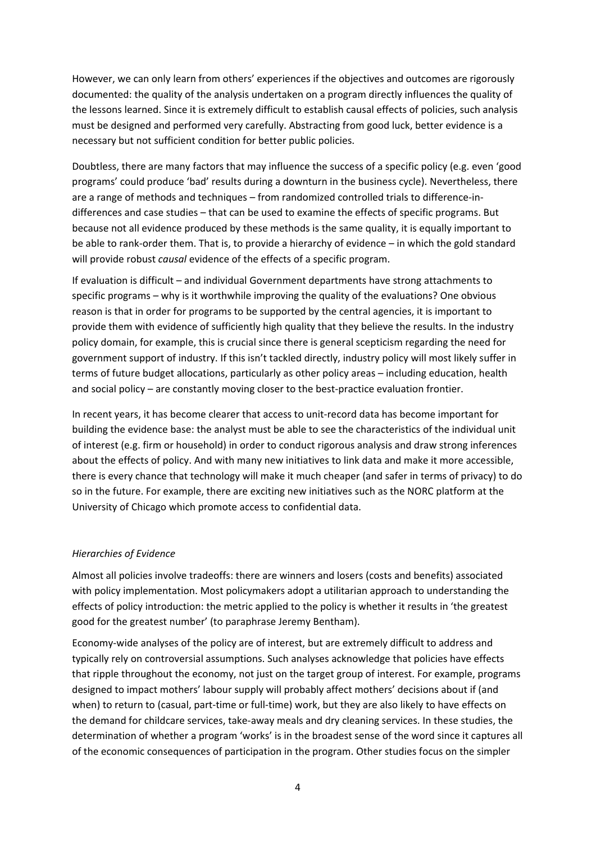However, we can only learn from others' experiences if the objectives and outcomes are rigorously documented: the quality of the analysis undertaken on a program directly influences the quality of the lessons learned. Since it is extremely difficult to establish causal effects of policies, such analysis must be designed and performed very carefully. Abstracting from good luck, better evidence is a necessary but not sufficient condition for better public policies.

Doubtless, there are many factors that may influence the success of a specific policy (e.g. even 'good programs' could produce 'bad' results during a downturn in the business cycle). Nevertheless, there are a range of methods and techniques – from randomized controlled trials to difference-indifferences and case studies – that can be used to examine the effects of specific programs. But because not all evidence produced by these methods is the same quality, it is equally important to be able to rank‐order them. That is, to provide a hierarchy of evidence – in which the gold standard will provide robust *causal* evidence of the effects of a specific program.

If evaluation is difficult – and individual Government departments have strong attachments to specific programs – why is it worthwhile improving the quality of the evaluations? One obvious reason is that in order for programs to be supported by the central agencies, it is important to provide them with evidence of sufficiently high quality that they believe the results. In the industry policy domain, for example, this is crucial since there is general scepticism regarding the need for government support of industry. If this isn't tackled directly, industry policy will most likely suffer in terms of future budget allocations, particularly as other policy areas – including education, health and social policy – are constantly moving closer to the best-practice evaluation frontier.

In recent years, it has become clearer that access to unit-record data has become important for building the evidence base: the analyst must be able to see the characteristics of the individual unit of interest (e.g. firm or household) in order to conduct rigorous analysis and draw strong inferences about the effects of policy. And with many new initiatives to link data and make it more accessible, there is every chance that technology will make it much cheaper (and safer in terms of privacy) to do so in the future. For example, there are exciting new initiatives such as the NORC platform at the University of Chicago which promote access to confidential data.

#### *Hierarchies of Evidence*

Almost all policies involve tradeoffs: there are winners and losers (costs and benefits) associated with policy implementation. Most policymakers adopt a utilitarian approach to understanding the effects of policy introduction: the metric applied to the policy is whether it results in 'the greatest good for the greatest number' (to paraphrase Jeremy Bentham).

Economy‐wide analyses of the policy are of interest, but are extremely difficult to address and typically rely on controversial assumptions. Such analyses acknowledge that policies have effects that ripple throughout the economy, not just on the target group of interest. For example, programs designed to impact mothers' labour supply will probably affect mothers' decisions about if (and when) to return to (casual, part-time or full-time) work, but they are also likely to have effects on the demand for childcare services, take‐away meals and dry cleaning services. In these studies, the determination of whether a program 'works' is in the broadest sense of the word since it captures all of the economic consequences of participation in the program. Other studies focus on the simpler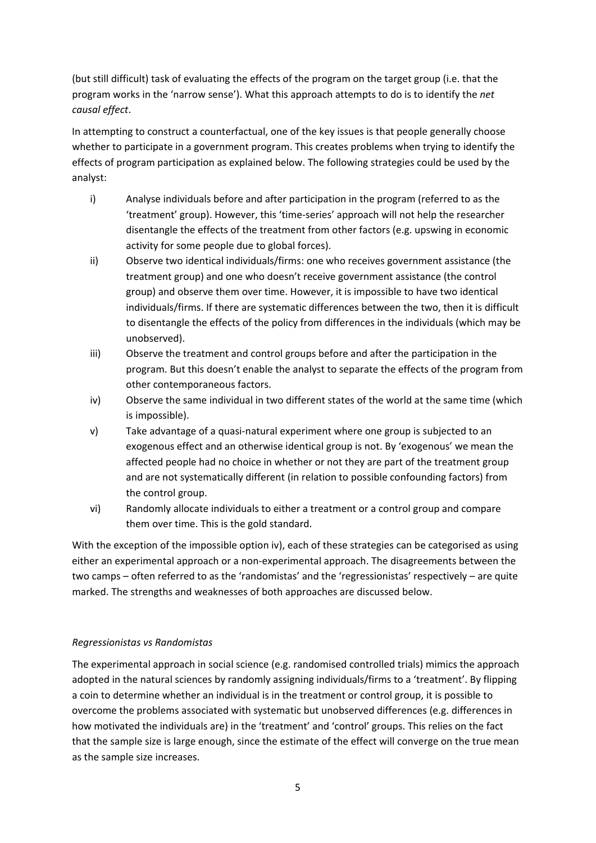(but still difficult) task of evaluating the effects of the program on the target group (i.e. that the program works in the 'narrow sense'). What this approach attempts to do is to identify the *net causal effect*.

In attempting to construct a counterfactual, one of the key issues is that people generally choose whether to participate in a government program. This creates problems when trying to identify the effects of program participation as explained below. The following strategies could be used by the analyst:

- i) Analyse individuals before and after participation in the program (referred to as the 'treatment' group). However, this 'time‐series' approach will not help the researcher disentangle the effects of the treatment from other factors (e.g. upswing in economic activity for some people due to global forces).
- ii) Observe two identical individuals/firms: one who receives government assistance (the treatment group) and one who doesn't receive government assistance (the control group) and observe them over time. However, it is impossible to have two identical individuals/firms. If there are systematic differences between the two, then it is difficult to disentangle the effects of the policy from differences in the individuals (which may be unobserved).
- iii) Observe the treatment and control groups before and after the participation in the program. But this doesn't enable the analyst to separate the effects of the program from other contemporaneous factors.
- iv) Observe the same individual in two different states of the world at the same time (which is impossible).
- v) Take advantage of a quasi‐natural experiment where one group is subjected to an exogenous effect and an otherwise identical group is not. By 'exogenous' we mean the affected people had no choice in whether or not they are part of the treatment group and are not systematically different (in relation to possible confounding factors) from the control group.
- vi) Randomly allocate individuals to either a treatment or a control group and compare them over time. This is the gold standard.

With the exception of the impossible option iv), each of these strategies can be categorised as using either an experimental approach or a non-experimental approach. The disagreements between the two camps – often referred to as the 'randomistas' and the 'regressionistas' respectively – are quite marked. The strengths and weaknesses of both approaches are discussed below.

#### *Regressionistas vs Randomistas*

The experimental approach in social science (e.g. randomised controlled trials) mimics the approach adopted in the natural sciences by randomly assigning individuals/firms to a 'treatment'. By flipping a coin to determine whether an individual is in the treatment or control group, it is possible to overcome the problems associated with systematic but unobserved differences (e.g. differences in how motivated the individuals are) in the 'treatment' and 'control' groups. This relies on the fact that the sample size is large enough, since the estimate of the effect will converge on the true mean as the sample size increases.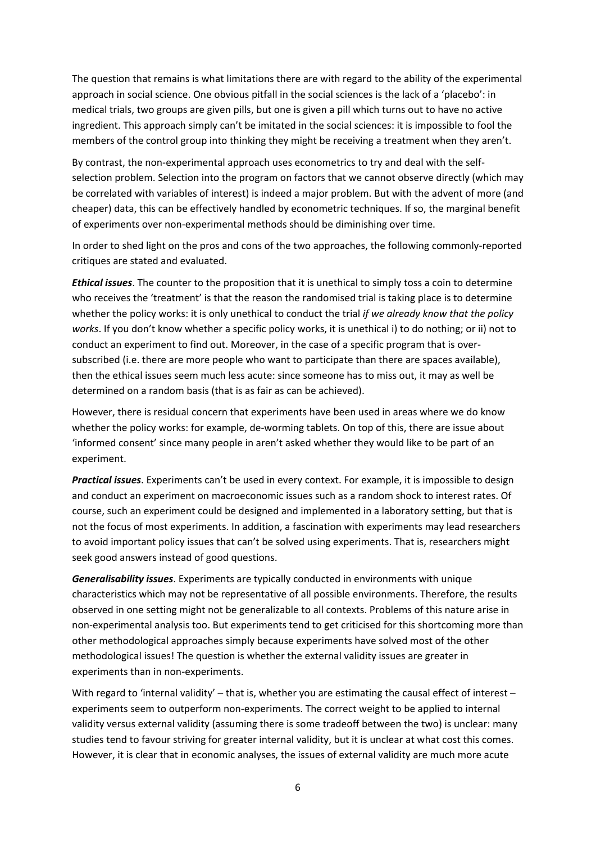The question that remains is what limitations there are with regard to the ability of the experimental approach in social science. One obvious pitfall in the social sciences is the lack of a 'placebo': in medical trials, two groups are given pills, but one is given a pill which turns out to have no active ingredient. This approach simply can't be imitated in the social sciences: it is impossible to fool the members of the control group into thinking they might be receiving a treatment when they aren't.

By contrast, the non‐experimental approach uses econometrics to try and deal with the self‐ selection problem. Selection into the program on factors that we cannot observe directly (which may be correlated with variables of interest) is indeed a major problem. But with the advent of more (and cheaper) data, this can be effectively handled by econometric techniques. If so, the marginal benefit of experiments over non‐experimental methods should be diminishing over time.

In order to shed light on the pros and cons of the two approaches, the following commonly-reported critiques are stated and evaluated.

*Ethical issues*. The counter to the proposition that it is unethical to simply toss a coin to determine who receives the 'treatment' is that the reason the randomised trial is taking place is to determine whether the policy works: it is only unethical to conduct the trial *if we already know that the policy works*. If you don't know whether a specific policy works, it is unethical i) to do nothing; or ii) not to conduct an experiment to find out. Moreover, in the case of a specific program that is over‐ subscribed (i.e. there are more people who want to participate than there are spaces available), then the ethical issues seem much less acute: since someone has to miss out, it may as well be determined on a random basis (that is as fair as can be achieved).

However, there is residual concern that experiments have been used in areas where we do know whether the policy works: for example, de-worming tablets. On top of this, there are issue about 'informed consent' since many people in aren't asked whether they would like to be part of an experiment.

*Practical issues*. Experiments can't be used in every context. For example, it is impossible to design and conduct an experiment on macroeconomic issues such as a random shock to interest rates. Of course, such an experiment could be designed and implemented in a laboratory setting, but that is not the focus of most experiments. In addition, a fascination with experiments may lead researchers to avoid important policy issues that can't be solved using experiments. That is, researchers might seek good answers instead of good questions.

*Generalisability issues*. Experiments are typically conducted in environments with unique characteristics which may not be representative of all possible environments. Therefore, the results observed in one setting might not be generalizable to all contexts. Problems of this nature arise in non‐experimental analysis too. But experiments tend to get criticised for this shortcoming more than other methodological approaches simply because experiments have solved most of the other methodological issues! The question is whether the external validity issues are greater in experiments than in non‐experiments.

With regard to 'internal validity' – that is, whether you are estimating the causal effect of interest – experiments seem to outperform non‐experiments. The correct weight to be applied to internal validity versus external validity (assuming there is some tradeoff between the two) is unclear: many studies tend to favour striving for greater internal validity, but it is unclear at what cost this comes. However, it is clear that in economic analyses, the issues of external validity are much more acute